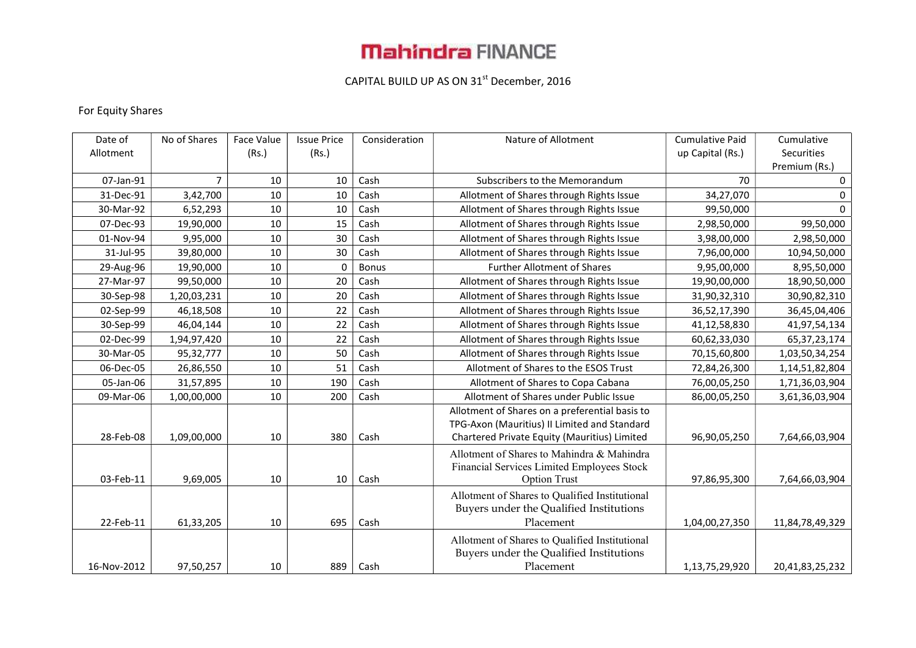# **Mahindra FINANCE**

### CAPITAL BUILD UP AS ON 31<sup>st</sup> December, 2016

#### For Equity Shares

| Date of     | No of Shares | Face Value | <b>Issue Price</b> | Consideration | Nature of Allotment                            | <b>Cumulative Paid</b> | Cumulative      |
|-------------|--------------|------------|--------------------|---------------|------------------------------------------------|------------------------|-----------------|
| Allotment   |              | (Rs.)      | (Rs.)              |               |                                                | up Capital (Rs.)       | Securities      |
|             |              |            |                    |               |                                                |                        | Premium (Rs.)   |
| 07-Jan-91   | 7            | 10         | 10                 | Cash          | Subscribers to the Memorandum                  | 70                     | $\mathbf 0$     |
| 31-Dec-91   | 3,42,700     | 10         | 10                 | Cash          | Allotment of Shares through Rights Issue       | 34,27,070              | 0               |
| 30-Mar-92   | 6,52,293     | 10         | 10                 | Cash          | Allotment of Shares through Rights Issue       | 99,50,000              | $\Omega$        |
| 07-Dec-93   | 19,90,000    | 10         | 15                 | Cash          | Allotment of Shares through Rights Issue       | 2,98,50,000            | 99,50,000       |
| 01-Nov-94   | 9,95,000     | 10         | 30                 | Cash          | Allotment of Shares through Rights Issue       | 3,98,00,000            | 2,98,50,000     |
| 31-Jul-95   | 39,80,000    | 10         | 30                 | Cash          | Allotment of Shares through Rights Issue       | 7,96,00,000            | 10,94,50,000    |
| 29-Aug-96   | 19,90,000    | 10         | 0                  | <b>Bonus</b>  | <b>Further Allotment of Shares</b>             | 9,95,00,000            | 8,95,50,000     |
| 27-Mar-97   | 99,50,000    | 10         | 20                 | Cash          | Allotment of Shares through Rights Issue       | 19,90,00,000           | 18,90,50,000    |
| 30-Sep-98   | 1,20,03,231  | 10         | 20                 | Cash          | Allotment of Shares through Rights Issue       | 31,90,32,310           | 30,90,82,310    |
| 02-Sep-99   | 46,18,508    | 10         | 22                 | Cash          | Allotment of Shares through Rights Issue       | 36,52,17,390           | 36,45,04,406    |
| 30-Sep-99   | 46,04,144    | 10         | 22                 | Cash          | Allotment of Shares through Rights Issue       | 41,12,58,830           | 41,97,54,134    |
| 02-Dec-99   | 1,94,97,420  | 10         | 22                 | Cash          | Allotment of Shares through Rights Issue       | 60,62,33,030           | 65, 37, 23, 174 |
| 30-Mar-05   | 95,32,777    | 10         | 50                 | Cash          | Allotment of Shares through Rights Issue       | 70,15,60,800           | 1,03,50,34,254  |
| 06-Dec-05   | 26,86,550    | 10         | 51                 | Cash          | Allotment of Shares to the ESOS Trust          | 72,84,26,300           | 1,14,51,82,804  |
| 05-Jan-06   | 31,57,895    | 10         | 190                | Cash          | Allotment of Shares to Copa Cabana             | 76,00,05,250           | 1,71,36,03,904  |
| 09-Mar-06   | 1,00,00,000  | $10\,$     | 200                | Cash          | Allotment of Shares under Public Issue         | 86,00,05,250           | 3,61,36,03,904  |
|             |              |            |                    |               | Allotment of Shares on a preferential basis to |                        |                 |
|             |              |            |                    |               | TPG-Axon (Mauritius) II Limited and Standard   |                        |                 |
| 28-Feb-08   | 1,09,00,000  | 10         | 380                | Cash          | Chartered Private Equity (Mauritius) Limited   | 96,90,05,250           | 7,64,66,03,904  |
|             |              |            |                    |               | Allotment of Shares to Mahindra & Mahindra     |                        |                 |
|             |              |            |                    |               | Financial Services Limited Employees Stock     |                        |                 |
| 03-Feb-11   | 9,69,005     | 10         | 10                 | Cash          | <b>Option Trust</b>                            | 97,86,95,300           | 7,64,66,03,904  |
|             |              |            |                    |               | Allotment of Shares to Qualified Institutional |                        |                 |
|             |              |            |                    |               | Buyers under the Qualified Institutions        |                        |                 |
| 22-Feb-11   | 61,33,205    | 10         | 695                | Cash          | Placement                                      | 1,04,00,27,350         | 11,84,78,49,329 |
|             |              |            |                    |               | Allotment of Shares to Qualified Institutional |                        |                 |
|             |              |            |                    |               | Buyers under the Qualified Institutions        |                        |                 |
| 16-Nov-2012 | 97,50,257    | 10         | 889                | Cash          | Placement                                      | 1,13,75,29,920         | 20,41,83,25,232 |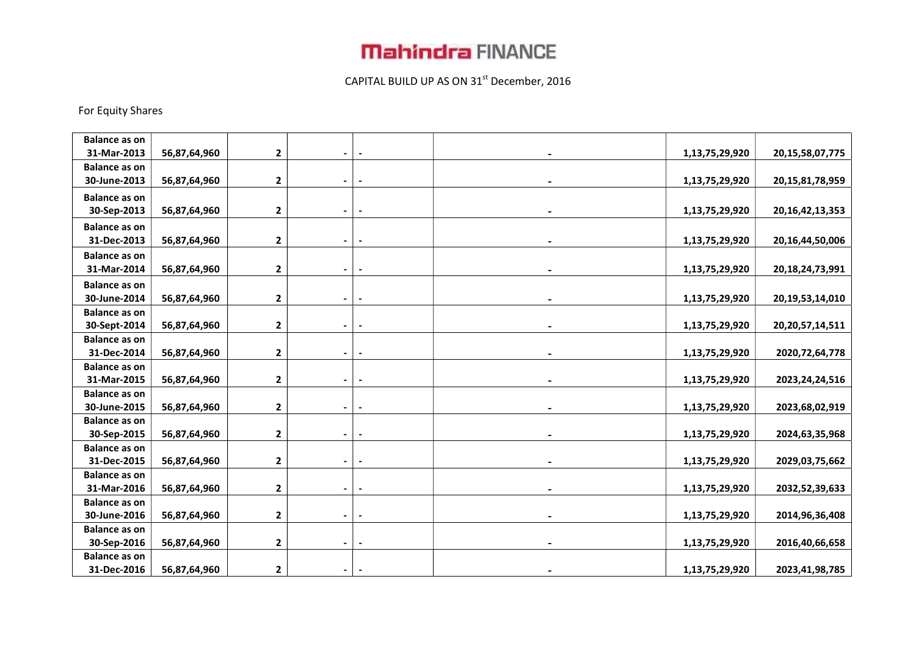## **Mahindra FINANCE**

### CAPITAL BUILD UP AS ON 31<sup>st</sup> December, 2016

#### For Equity Shares

| <b>Balance as on</b> |              |              |                |                          |                |                     |
|----------------------|--------------|--------------|----------------|--------------------------|----------------|---------------------|
| 31-Mar-2013          | 56,87,64,960 | $\mathbf{2}$ |                |                          | 1,13,75,29,920 | 20, 15, 58, 07, 775 |
| <b>Balance as on</b> |              |              |                |                          |                |                     |
| 30-June-2013         | 56,87,64,960 | 2            |                |                          | 1,13,75,29,920 | 20, 15, 81, 78, 959 |
| <b>Balance as on</b> |              |              |                |                          |                |                     |
| 30-Sep-2013          | 56,87,64,960 | $\mathbf{2}$ | $\blacksquare$ | $\overline{\phantom{a}}$ | 1,13,75,29,920 | 20, 16, 42, 13, 353 |
| <b>Balance as on</b> |              |              |                |                          |                |                     |
| 31-Dec-2013          | 56,87,64,960 | $\mathbf{2}$ | $\blacksquare$ |                          | 1,13,75,29,920 | 20, 16, 44, 50, 006 |
| <b>Balance as on</b> |              |              |                |                          |                |                     |
| 31-Mar-2014          | 56,87,64,960 | $\mathbf 2$  |                |                          | 1,13,75,29,920 | 20, 18, 24, 73, 991 |
| <b>Balance as on</b> |              |              |                |                          |                |                     |
| 30-June-2014         | 56,87,64,960 | $\mathbf 2$  |                |                          | 1,13,75,29,920 | 20, 19, 53, 14, 010 |
| <b>Balance as on</b> |              |              |                |                          |                |                     |
| 30-Sept-2014         | 56,87,64,960 | $\mathbf{2}$ |                |                          | 1,13,75,29,920 | 20, 20, 57, 14, 511 |
| <b>Balance as on</b> |              |              |                |                          |                |                     |
| 31-Dec-2014          | 56,87,64,960 | $\mathbf{2}$ |                |                          | 1,13,75,29,920 | 2020, 72, 64, 778   |
| <b>Balance as on</b> |              |              |                |                          |                |                     |
| 31-Mar-2015          | 56,87,64,960 | $\mathbf{2}$ |                |                          | 1,13,75,29,920 | 2023, 24, 24, 516   |
| <b>Balance as on</b> |              |              |                |                          |                |                     |
| 30-June-2015         | 56,87,64,960 | 2            | $\blacksquare$ |                          | 1,13,75,29,920 | 2023,68,02,919      |
| <b>Balance as on</b> |              |              |                |                          |                |                     |
| 30-Sep-2015          | 56,87,64,960 | $\mathbf 2$  |                |                          | 1,13,75,29,920 | 2024,63,35,968      |
| <b>Balance as on</b> |              |              |                |                          |                |                     |
| 31-Dec-2015          | 56,87,64,960 | 2            |                |                          | 1,13,75,29,920 | 2029,03,75,662      |
| <b>Balance as on</b> |              |              |                |                          |                |                     |
| 31-Mar-2016          | 56,87,64,960 | $\mathbf 2$  |                |                          | 1,13,75,29,920 | 2032,52,39,633      |
| <b>Balance as on</b> |              |              |                |                          |                |                     |
| 30-June-2016         | 56,87,64,960 | $\mathbf{2}$ |                |                          | 1,13,75,29,920 | 2014, 96, 36, 408   |
| <b>Balance as on</b> |              |              |                |                          |                |                     |
| 30-Sep-2016          | 56,87,64,960 | $\mathbf{2}$ |                |                          | 1,13,75,29,920 | 2016,40,66,658      |
| <b>Balance as on</b> |              |              |                |                          |                |                     |
| 31-Dec-2016          | 56,87,64,960 | $\mathbf{2}$ |                |                          | 1,13,75,29,920 | 2023,41,98,785      |